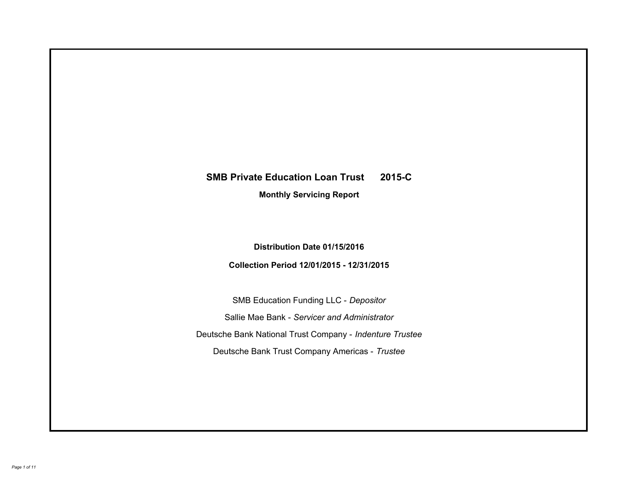# **SMB Private Education Loan Trust 2015-C Monthly Servicing Report**

# **Distribution Date 01/15/2016**

# **Collection Period 12/01/2015 - 12/31/2015**

SMB Education Funding LLC - *Depositor* Sallie Mae Bank - *Servicer and Administrator* Deutsche Bank National Trust Company - *Indenture Trustee* Deutsche Bank Trust Company Americas - *Trustee*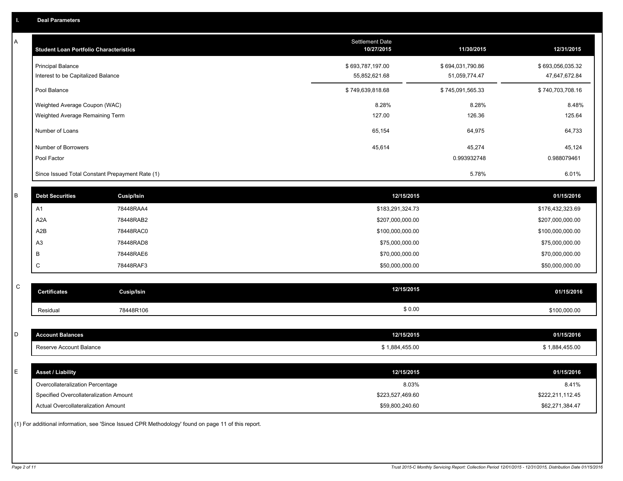A

| A         | <b>Student Loan Portfolio Characteristics</b>                              |                                                                                                     | <b>Settlement Date</b><br>10/27/2015 | 11/30/2015       | 12/31/2015                |
|-----------|----------------------------------------------------------------------------|-----------------------------------------------------------------------------------------------------|--------------------------------------|------------------|---------------------------|
|           | <b>Principal Balance</b>                                                   |                                                                                                     | \$693,787,197.00                     | \$694,031,790.86 | \$693,056,035.32          |
|           | Interest to be Capitalized Balance                                         |                                                                                                     | 55,852,621.68                        | 51,059,774.47    | 47,647,672.84             |
|           | Pool Balance                                                               |                                                                                                     | \$749,639,818.68                     | \$745,091,565.33 | \$740,703,708.16          |
|           | Weighted Average Coupon (WAC)                                              |                                                                                                     | 8.28%                                | 8.28%            | 8.48%                     |
|           | Weighted Average Remaining Term                                            |                                                                                                     | 127.00                               | 126.36           | 125.64                    |
|           | Number of Loans                                                            |                                                                                                     | 65,154                               | 64,975           | 64,733                    |
|           | Number of Borrowers                                                        |                                                                                                     | 45,614                               | 45,274           | 45,124                    |
|           | Pool Factor                                                                |                                                                                                     |                                      | 0.993932748      | 0.988079461               |
|           | Since Issued Total Constant Prepayment Rate (1)                            |                                                                                                     |                                      | 5.78%            | 6.01%                     |
| $\sf B$   | <b>Debt Securities</b>                                                     | <b>Cusip/Isin</b>                                                                                   | 12/15/2015                           |                  | 01/15/2016                |
|           | A1                                                                         | 78448RAA4                                                                                           | \$183,291,324.73                     |                  | \$176,432,323.69          |
|           | A <sub>2</sub> A                                                           | 78448RAB2                                                                                           | \$207,000,000.00                     |                  | \$207,000,000.00          |
|           | A <sub>2</sub> B                                                           | 78448RAC0                                                                                           | \$100,000,000.00                     |                  | \$100,000,000.00          |
|           | A <sub>3</sub>                                                             | 78448RAD8                                                                                           | \$75,000,000.00                      |                  | \$75,000,000.00           |
|           | B                                                                          | 78448RAE6                                                                                           | \$70,000,000.00                      |                  | \$70,000,000.00           |
|           | C                                                                          | 78448RAF3                                                                                           | \$50,000,000.00                      |                  | \$50,000,000.00           |
| ${\rm C}$ |                                                                            |                                                                                                     |                                      |                  |                           |
|           | <b>Certificates</b>                                                        | <b>Cusip/Isin</b>                                                                                   | 12/15/2015                           |                  | 01/15/2016                |
|           | Residual                                                                   | 78448R106                                                                                           |                                      | \$0.00           | \$100,000.00              |
|           |                                                                            |                                                                                                     |                                      |                  |                           |
| D         | <b>Account Balances</b>                                                    |                                                                                                     | 12/15/2015                           |                  | 01/15/2016                |
|           | Reserve Account Balance                                                    |                                                                                                     | \$1,884,455.00                       |                  | \$1,884,455.00            |
| E         | <b>Asset / Liability</b>                                                   |                                                                                                     | 12/15/2015                           |                  | 01/15/2016                |
|           |                                                                            |                                                                                                     |                                      |                  |                           |
|           | Overcollateralization Percentage<br>Specified Overcollateralization Amount |                                                                                                     | \$223,527,469.60                     | 8.03%            | 8.41%<br>\$222,211,112.45 |
|           | Actual Overcollateralization Amount                                        |                                                                                                     | \$59,800,240.60                      |                  | \$62,271,384.47           |
|           |                                                                            | (1) For additional information, see 'Since Issued CPR Methodology' found on page 11 of this report. |                                      |                  |                           |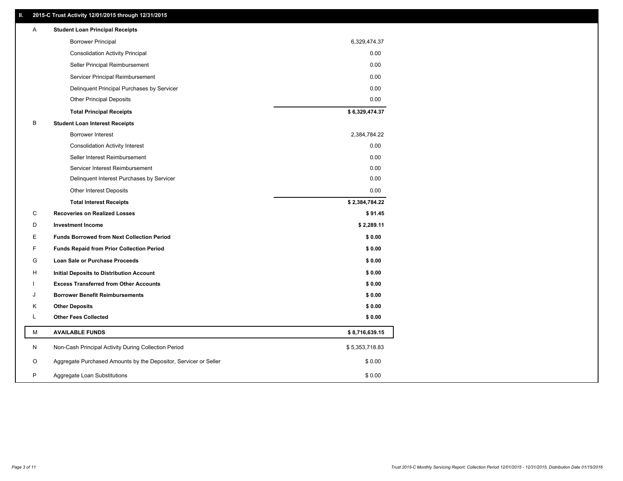### **II. 2015-C Trust Activity 12/01/2015 through 12/31/2015**

| Α | <b>Student Loan Principal Receipts</b>                           |                |  |
|---|------------------------------------------------------------------|----------------|--|
|   | <b>Borrower Principal</b>                                        | 6,329,474.37   |  |
|   | <b>Consolidation Activity Principal</b>                          | 0.00           |  |
|   | Seller Principal Reimbursement                                   | 0.00           |  |
|   | Servicer Principal Reimbursement                                 | 0.00           |  |
|   | Delinquent Principal Purchases by Servicer                       | 0.00           |  |
|   | <b>Other Principal Deposits</b>                                  | 0.00           |  |
|   | <b>Total Principal Receipts</b>                                  | \$6,329,474.37 |  |
| в | <b>Student Loan Interest Receipts</b>                            |                |  |
|   | Borrower Interest                                                | 2,384,784.22   |  |
|   | <b>Consolidation Activity Interest</b>                           | 0.00           |  |
|   | Seller Interest Reimbursement                                    | 0.00           |  |
|   | Servicer Interest Reimbursement                                  | 0.00           |  |
|   | Delinquent Interest Purchases by Servicer                        | 0.00           |  |
|   | <b>Other Interest Deposits</b>                                   | 0.00           |  |
|   | <b>Total Interest Receipts</b>                                   | \$2,384,784.22 |  |
| C | <b>Recoveries on Realized Losses</b>                             | \$91.45        |  |
| D | <b>Investment Income</b>                                         | \$2,289.11     |  |
| Ε | <b>Funds Borrowed from Next Collection Period</b>                | \$0.00         |  |
| F | <b>Funds Repaid from Prior Collection Period</b>                 | \$0.00         |  |
| G | Loan Sale or Purchase Proceeds                                   | \$0.00         |  |
| H | Initial Deposits to Distribution Account                         | \$0.00         |  |
|   | <b>Excess Transferred from Other Accounts</b>                    | \$0.00         |  |
| J | <b>Borrower Benefit Reimbursements</b>                           | \$0.00         |  |
| Κ | <b>Other Deposits</b>                                            | \$0.00         |  |
| L | <b>Other Fees Collected</b>                                      | \$0.00         |  |
| м | <b>AVAILABLE FUNDS</b>                                           | \$8,716,639.15 |  |
| N | Non-Cash Principal Activity During Collection Period             | \$5,353,718.83 |  |
| O | Aggregate Purchased Amounts by the Depositor, Servicer or Seller | \$0.00         |  |
| P | Aggregate Loan Substitutions                                     | \$0.00         |  |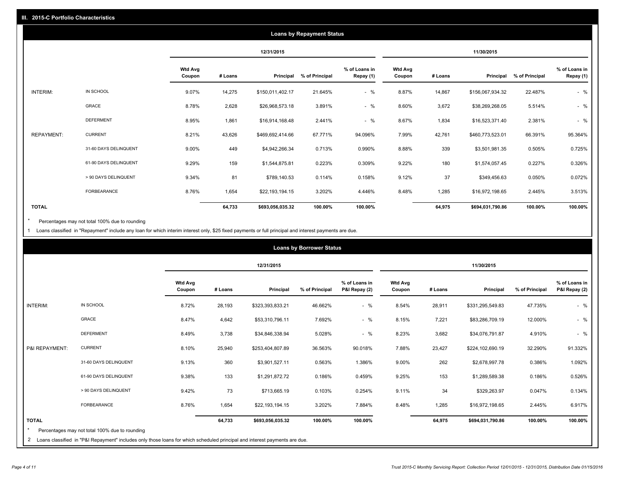|              |                       |                          |         |                  | <b>Loans by Repayment Status</b> |                            |                          |         |                  |                |                            |
|--------------|-----------------------|--------------------------|---------|------------------|----------------------------------|----------------------------|--------------------------|---------|------------------|----------------|----------------------------|
|              |                       |                          |         | 12/31/2015       |                                  |                            |                          |         | 11/30/2015       |                |                            |
|              |                       | <b>Wtd Avg</b><br>Coupon | # Loans | Principal        | % of Principal                   | % of Loans in<br>Repay (1) | <b>Wtd Avg</b><br>Coupon | # Loans | Principal        | % of Principal | % of Loans in<br>Repay (1) |
| INTERIM:     | IN SCHOOL             | 9.07%                    | 14,275  | \$150,011,402.17 | 21.645%                          | $-$ %                      | 8.87%                    | 14,867  | \$156,067,934.32 | 22.487%        | $-$ %                      |
|              | GRACE                 | 8.78%                    | 2,628   | \$26,968,573.18  | 3.891%                           | $-$ %                      | 8.60%                    | 3,672   | \$38,269,268.05  | 5.514%         | $-$ %                      |
|              | <b>DEFERMENT</b>      | 8.95%                    | 1,861   | \$16,914,168.48  | 2.441%                           | $-$ %                      | 8.67%                    | 1,834   | \$16,523,371.40  | 2.381%         | $-$ %                      |
| REPAYMENT:   | <b>CURRENT</b>        | 8.21%                    | 43,626  | \$469,692,414.66 | 67.771%                          | 94.096%                    | 7.99%                    | 42,761  | \$460,773,523.01 | 66.391%        | 95.364%                    |
|              | 31-60 DAYS DELINQUENT | 9.00%                    | 449     | \$4,942,266.34   | 0.713%                           | 0.990%                     | 8.88%                    | 339     | \$3,501,981.35   | 0.505%         | 0.725%                     |
|              | 61-90 DAYS DELINQUENT | 9.29%                    | 159     | \$1,544,875.81   | 0.223%                           | 0.309%                     | 9.22%                    | 180     | \$1,574,057.45   | 0.227%         | 0.326%                     |
|              | > 90 DAYS DELINQUENT  | 9.34%                    | 81      | \$789,140.53     | 0.114%                           | 0.158%                     | 9.12%                    | 37      | \$349,456.63     | 0.050%         | 0.072%                     |
|              | <b>FORBEARANCE</b>    | 8.76%                    | 1,654   | \$22,193,194.15  | 3.202%                           | 4.446%                     | 8.48%                    | 1,285   | \$16,972,198.65  | 2.445%         | 3.513%                     |
| <b>TOTAL</b> |                       |                          | 64,733  | \$693,056,035.32 | 100.00%                          | 100.00%                    |                          | 64,975  | \$694,031,790.86 | 100.00%        | 100.00%                    |

Percentages may not total 100% due to rounding  $^\star$ 

1 Loans classified in "Repayment" include any loan for which interim interest only, \$25 fixed payments or full principal and interest payments are due.

|                 |                                                                                                                            |                          |         |                  | <b>Loans by Borrower Status</b> |                                |                          |         |                  |                |                                |
|-----------------|----------------------------------------------------------------------------------------------------------------------------|--------------------------|---------|------------------|---------------------------------|--------------------------------|--------------------------|---------|------------------|----------------|--------------------------------|
|                 |                                                                                                                            |                          |         | 12/31/2015       |                                 |                                |                          |         | 11/30/2015       |                |                                |
|                 |                                                                                                                            | <b>Wtd Avg</b><br>Coupon | # Loans | Principal        | % of Principal                  | % of Loans in<br>P&I Repay (2) | <b>Wtd Avg</b><br>Coupon | # Loans | Principal        | % of Principal | % of Loans in<br>P&I Repay (2) |
| <b>INTERIM:</b> | IN SCHOOL                                                                                                                  | 8.72%                    | 28,193  | \$323,393,833.21 | 46.662%                         | $-$ %                          | 8.54%                    | 28,911  | \$331,295,549.83 | 47.735%        | $-$ %                          |
|                 | <b>GRACE</b>                                                                                                               | 8.47%                    | 4,642   | \$53,310,796.11  | 7.692%                          | $-$ %                          | 8.15%                    | 7,221   | \$83,286,709.19  | 12.000%        | $-$ %                          |
|                 | <b>DEFERMENT</b>                                                                                                           | 8.49%                    | 3,738   | \$34,846,338.94  | 5.028%                          | $-$ %                          | 8.23%                    | 3,682   | \$34,076,791.87  | 4.910%         | $-$ %                          |
| P&I REPAYMENT:  | <b>CURRENT</b>                                                                                                             | 8.10%                    | 25,940  | \$253,404,807.89 | 36.563%                         | 90.018%                        | 7.88%                    | 23,427  | \$224,102,690.19 | 32.290%        | 91.332%                        |
|                 | 31-60 DAYS DELINQUENT                                                                                                      | 9.13%                    | 360     | \$3,901,527.11   | 0.563%                          | 1.386%                         | 9.00%                    | 262     | \$2,678,997.78   | 0.386%         | 1.092%                         |
|                 | 61-90 DAYS DELINQUENT                                                                                                      | 9.38%                    | 133     | \$1,291,872.72   | 0.186%                          | 0.459%                         | 9.25%                    | 153     | \$1,289,589.38   | 0.186%         | 0.526%                         |
|                 | > 90 DAYS DELINQUENT                                                                                                       | 9.42%                    | 73      | \$713,665.19     | 0.103%                          | 0.254%                         | 9.11%                    | 34      | \$329,263.97     | 0.047%         | 0.134%                         |
|                 | FORBEARANCE                                                                                                                | 8.76%                    | 1,654   | \$22,193,194.15  | 3.202%                          | 7.884%                         | 8.48%                    | 1,285   | \$16,972,198.65  | 2.445%         | 6.917%                         |
| <b>TOTAL</b>    |                                                                                                                            |                          | 64,733  | \$693,056,035.32 | 100.00%                         | 100.00%                        |                          | 64,975  | \$694,031,790.86 | 100.00%        | 100.00%                        |
|                 | Percentages may not total 100% due to rounding                                                                             |                          |         |                  |                                 |                                |                          |         |                  |                |                                |
| $\mathbf{2}$    | Loans classified in "P&I Repayment" includes only those loans for which scheduled principal and interest payments are due. |                          |         |                  |                                 |                                |                          |         |                  |                |                                |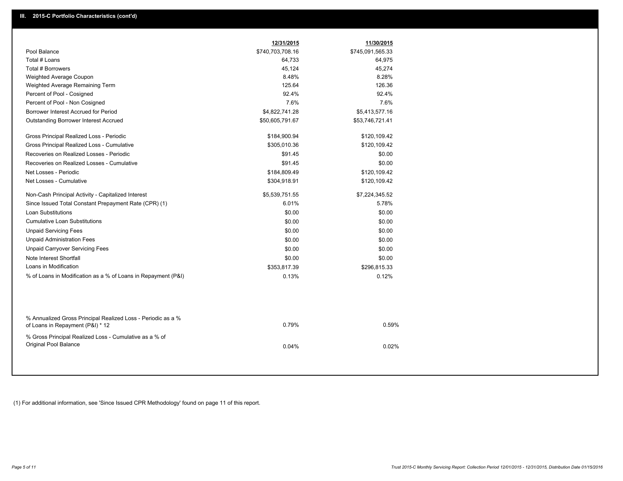|                                                                                                  | 12/31/2015       | 11/30/2015       |
|--------------------------------------------------------------------------------------------------|------------------|------------------|
| Pool Balance                                                                                     | \$740,703,708.16 | \$745,091,565.33 |
| Total # Loans                                                                                    | 64,733           | 64,975           |
| Total # Borrowers                                                                                | 45,124           | 45,274           |
| Weighted Average Coupon                                                                          | 8.48%            | 8.28%            |
| Weighted Average Remaining Term                                                                  | 125.64           | 126.36           |
| Percent of Pool - Cosigned                                                                       | 92.4%            | 92.4%            |
| Percent of Pool - Non Cosigned                                                                   | 7.6%             | 7.6%             |
| Borrower Interest Accrued for Period                                                             | \$4,822,741.28   | \$5,413,577.16   |
| <b>Outstanding Borrower Interest Accrued</b>                                                     | \$50,605,791.67  | \$53,746,721.41  |
| Gross Principal Realized Loss - Periodic                                                         | \$184,900.94     | \$120,109.42     |
| Gross Principal Realized Loss - Cumulative                                                       | \$305,010.36     | \$120,109.42     |
| Recoveries on Realized Losses - Periodic                                                         | \$91.45          | \$0.00           |
| Recoveries on Realized Losses - Cumulative                                                       | \$91.45          | \$0.00           |
| Net Losses - Periodic                                                                            | \$184,809.49     | \$120,109.42     |
| Net Losses - Cumulative                                                                          | \$304,918.91     | \$120,109.42     |
| Non-Cash Principal Activity - Capitalized Interest                                               | \$5,539,751.55   | \$7,224,345.52   |
| Since Issued Total Constant Prepayment Rate (CPR) (1)                                            | 6.01%            | 5.78%            |
| <b>Loan Substitutions</b>                                                                        | \$0.00           | \$0.00           |
| <b>Cumulative Loan Substitutions</b>                                                             | \$0.00           | \$0.00           |
| <b>Unpaid Servicing Fees</b>                                                                     | \$0.00           | \$0.00           |
| <b>Unpaid Administration Fees</b>                                                                | \$0.00           | \$0.00           |
| <b>Unpaid Carryover Servicing Fees</b>                                                           | \$0.00           | \$0.00           |
| Note Interest Shortfall                                                                          | \$0.00           | \$0.00           |
| Loans in Modification                                                                            | \$353,817.39     | \$296,815.33     |
| % of Loans in Modification as a % of Loans in Repayment (P&I)                                    | 0.13%            | 0.12%            |
|                                                                                                  |                  |                  |
| % Annualized Gross Principal Realized Loss - Periodic as a %<br>of Loans in Repayment (P&I) * 12 | 0.79%            | 0.59%            |
| % Gross Principal Realized Loss - Cumulative as a % of<br>Original Pool Balance                  | 0.04%            | 0.02%            |

(1) For additional information, see 'Since Issued CPR Methodology' found on page 11 of this report.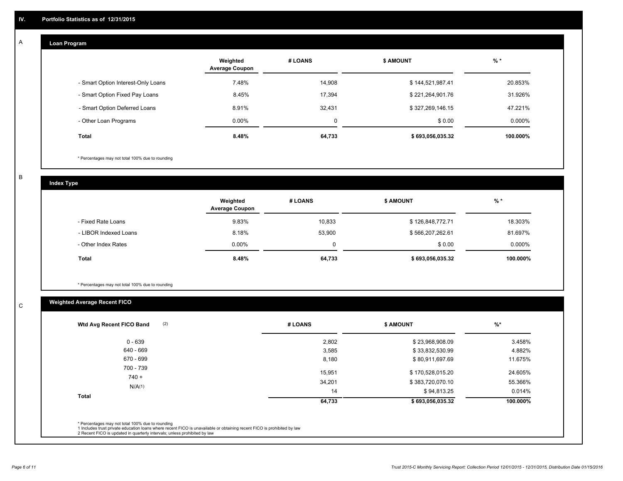#### **Loan Program**  A

|                                    | Weighted<br><b>Average Coupon</b> | # LOANS | <b>\$ AMOUNT</b> | $%$ *    |
|------------------------------------|-----------------------------------|---------|------------------|----------|
| - Smart Option Interest-Only Loans | 7.48%                             | 14,908  | \$144,521,987.41 | 20.853%  |
| - Smart Option Fixed Pay Loans     | 8.45%                             | 17,394  | \$221,264,901.76 | 31.926%  |
| - Smart Option Deferred Loans      | 8.91%                             | 32,431  | \$327,269,146.15 | 47.221%  |
| - Other Loan Programs              | $0.00\%$                          | 0       | \$0.00           | 0.000%   |
| <b>Total</b>                       | 8.48%                             | 64,733  | \$693,056,035.32 | 100.000% |

\* Percentages may not total 100% due to rounding

B

C

**Index Type**

|                       | Weighted<br><b>Average Coupon</b> | # LOANS | <b>S AMOUNT</b>  | $%$ *     |
|-----------------------|-----------------------------------|---------|------------------|-----------|
| - Fixed Rate Loans    | 9.83%                             | 10.833  | \$126,848,772.71 | 18.303%   |
| - LIBOR Indexed Loans | 8.18%                             | 53,900  | \$566,207,262.61 | 81.697%   |
| - Other Index Rates   | $0.00\%$                          | 0       | \$0.00           | $0.000\%$ |
| Total                 | 8.48%                             | 64,733  | \$693,056,035.32 | 100.000%  |

\* Percentages may not total 100% due to rounding

## **Weighted Average Recent FICO**

| (2)<br>Wtd Avg Recent FICO Band | # LOANS      | <b>\$ AMOUNT</b>                | $%$ *             |
|---------------------------------|--------------|---------------------------------|-------------------|
| $0 - 639$                       | 2,802        | \$23,968,908.09                 | 3.458%            |
| 640 - 669                       | 3,585        | \$33,832,530.99                 | 4.882%            |
| 670 - 699                       | 8,180        | \$80,911,697.69                 | 11.675%           |
| 700 - 739<br>$740 +$            | 15,951       | \$170,528,015.20                | 24.605%           |
| N/A(1)                          | 34,201<br>14 | \$383,720,070.10<br>\$94,813.25 | 55.366%<br>0.014% |
| <b>Total</b>                    | 64,733       | \$693,056,035.32                | 100.000%          |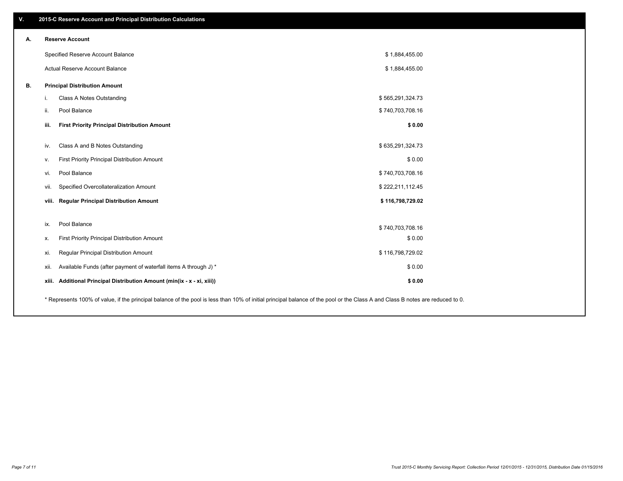| V. | 2015-C Reserve Account and Principal Distribution Calculations                                                                                                                |                  |  |
|----|-------------------------------------------------------------------------------------------------------------------------------------------------------------------------------|------------------|--|
| А. | <b>Reserve Account</b>                                                                                                                                                        |                  |  |
|    | Specified Reserve Account Balance                                                                                                                                             | \$1,884,455.00   |  |
|    | Actual Reserve Account Balance                                                                                                                                                | \$1,884,455.00   |  |
| В. | <b>Principal Distribution Amount</b>                                                                                                                                          |                  |  |
|    | Class A Notes Outstanding<br>i.                                                                                                                                               | \$565,291,324.73 |  |
|    | Pool Balance<br>ii.                                                                                                                                                           | \$740,703,708.16 |  |
|    | iii.<br><b>First Priority Principal Distribution Amount</b>                                                                                                                   | \$0.00           |  |
|    | Class A and B Notes Outstanding<br>iv.                                                                                                                                        | \$635,291,324.73 |  |
|    | First Priority Principal Distribution Amount<br>v.                                                                                                                            | \$0.00           |  |
|    | Pool Balance<br>vi.                                                                                                                                                           | \$740,703,708.16 |  |
|    | Specified Overcollateralization Amount<br>vii.                                                                                                                                | \$222,211,112.45 |  |
|    | viii. Regular Principal Distribution Amount                                                                                                                                   | \$116,798,729.02 |  |
|    |                                                                                                                                                                               |                  |  |
|    | Pool Balance<br>ix.                                                                                                                                                           | \$740,703,708.16 |  |
|    | First Priority Principal Distribution Amount<br>х.                                                                                                                            | \$0.00           |  |
|    | Regular Principal Distribution Amount<br>xi.                                                                                                                                  | \$116,798,729.02 |  |
|    | Available Funds (after payment of waterfall items A through J) *<br>xii.                                                                                                      | \$0.00           |  |
|    | xiii. Additional Principal Distribution Amount (min(ix - x - xi, xiii))                                                                                                       | \$0.00           |  |
|    | * Represents 100% of value, if the principal balance of the pool is less than 10% of initial principal balance of the pool or the Class A and Class B notes are reduced to 0. |                  |  |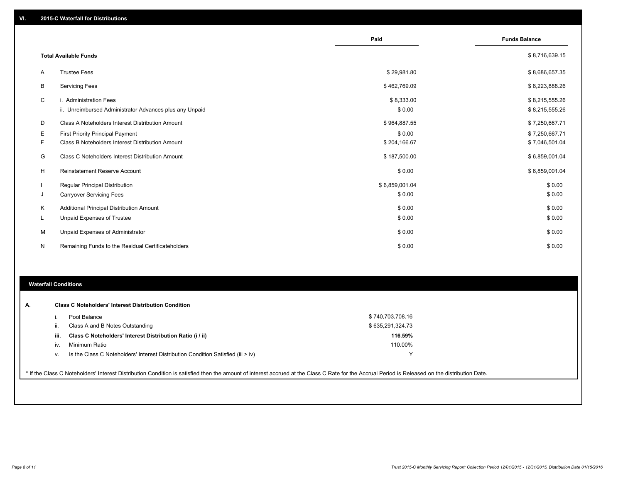|    |                                                                                   | Paid                 | <b>Funds Balance</b>             |
|----|-----------------------------------------------------------------------------------|----------------------|----------------------------------|
|    | <b>Total Available Funds</b>                                                      |                      | \$8,716,639.15                   |
| A  | <b>Trustee Fees</b>                                                               | \$29,981.80          | \$8,686,657.35                   |
| B  | <b>Servicing Fees</b>                                                             | \$462,769.09         | \$8,223,888.26                   |
| C  | i. Administration Fees<br>ii. Unreimbursed Administrator Advances plus any Unpaid | \$8,333.00<br>\$0.00 | \$8,215,555.26<br>\$8,215,555.26 |
| D  | Class A Noteholders Interest Distribution Amount                                  | \$964,887.55         | \$7,250,667.71                   |
| Е  | First Priority Principal Payment                                                  | \$0.00               | \$7,250,667.71                   |
| F  | Class B Noteholders Interest Distribution Amount                                  | \$204,166.67         | \$7,046,501.04                   |
| G  | Class C Noteholders Interest Distribution Amount                                  | \$187,500.00         | \$6,859,001.04                   |
| H  | Reinstatement Reserve Account                                                     | \$0.00               | \$6,859,001.04                   |
|    | <b>Regular Principal Distribution</b>                                             | \$6,859,001.04       | \$0.00                           |
| J  | <b>Carryover Servicing Fees</b>                                                   | \$0.00               | \$0.00                           |
| Κ  | Additional Principal Distribution Amount                                          | \$0.00               | \$0.00                           |
| L. | <b>Unpaid Expenses of Trustee</b>                                                 | \$0.00               | \$0.00                           |
| M  | Unpaid Expenses of Administrator                                                  | \$0.00               | \$0.00                           |
| N  | Remaining Funds to the Residual Certificateholders                                | \$0.00               | \$0.00                           |

### **Waterfall Conditions**

|      | Pool Balance                                                                       | \$740,703,708.16 |  |
|------|------------------------------------------------------------------------------------|------------------|--|
| ii.  | Class A and B Notes Outstanding                                                    | \$635,291,324.73 |  |
| iii. | Class C Noteholders' Interest Distribution Ratio (i / ii)                          | 116.59%          |  |
| iv.  | Minimum Ratio                                                                      | 110.00%          |  |
| v.   | Is the Class C Noteholders' Interest Distribution Condition Satisfied (iii $>$ iv) | v                |  |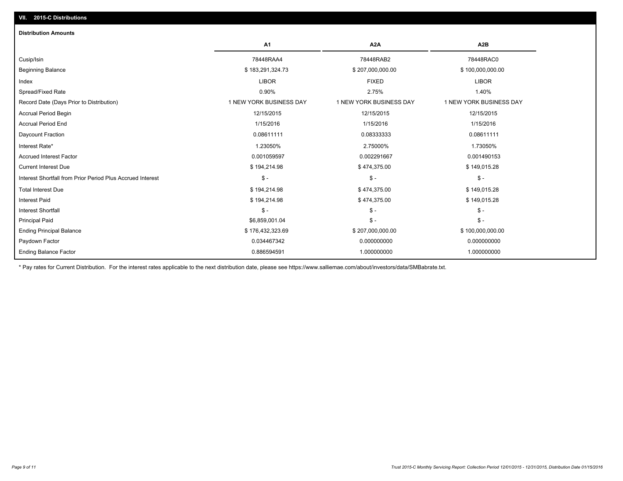| <b>Distribution Amounts</b>                                |                         |                         |                         |
|------------------------------------------------------------|-------------------------|-------------------------|-------------------------|
|                                                            | A1                      | A <sub>2</sub> A        | A <sub>2</sub> B        |
| Cusip/Isin                                                 | 78448RAA4               | 78448RAB2               | 78448RAC0               |
| <b>Beginning Balance</b>                                   | \$183,291,324.73        | \$207,000,000.00        | \$100,000,000.00        |
| Index                                                      | <b>LIBOR</b>            | <b>FIXED</b>            | <b>LIBOR</b>            |
| Spread/Fixed Rate                                          | 0.90%                   | 2.75%                   | 1.40%                   |
| Record Date (Days Prior to Distribution)                   | 1 NEW YORK BUSINESS DAY | 1 NEW YORK BUSINESS DAY | 1 NEW YORK BUSINESS DAY |
| Accrual Period Begin                                       | 12/15/2015              | 12/15/2015              | 12/15/2015              |
| <b>Accrual Period End</b>                                  | 1/15/2016               | 1/15/2016               | 1/15/2016               |
| Daycount Fraction                                          | 0.08611111              | 0.08333333              | 0.08611111              |
| Interest Rate*                                             | 1.23050%                | 2.75000%                | 1.73050%                |
| <b>Accrued Interest Factor</b>                             | 0.001059597             | 0.002291667             | 0.001490153             |
| <b>Current Interest Due</b>                                | \$194,214.98            | \$474,375.00            | \$149,015.28            |
| Interest Shortfall from Prior Period Plus Accrued Interest | $\frac{1}{2}$           | $\mathsf{\$}$ -         | $\mathsf{\$}$ -         |
| <b>Total Interest Due</b>                                  | \$194,214.98            | \$474,375.00            | \$149,015.28            |
| <b>Interest Paid</b>                                       | \$194,214.98            | \$474,375.00            | \$149,015.28            |
| <b>Interest Shortfall</b>                                  | $S -$                   | $\mathsf{\$}$ -         | $$ -$                   |
| <b>Principal Paid</b>                                      | \$6,859,001.04          | $\mathsf{\$}$ -         | $S -$                   |
| <b>Ending Principal Balance</b>                            | \$176,432,323.69        | \$207,000,000.00        | \$100,000,000.00        |
| Paydown Factor                                             | 0.034467342             | 0.000000000             | 0.000000000             |
| <b>Ending Balance Factor</b>                               | 0.886594591             | 1.000000000             | 1.000000000             |

\* Pay rates for Current Distribution. For the interest rates applicable to the next distribution date, please see https://www.salliemae.com/about/investors/data/SMBabrate.txt.

**VII. 2015-C Distributions**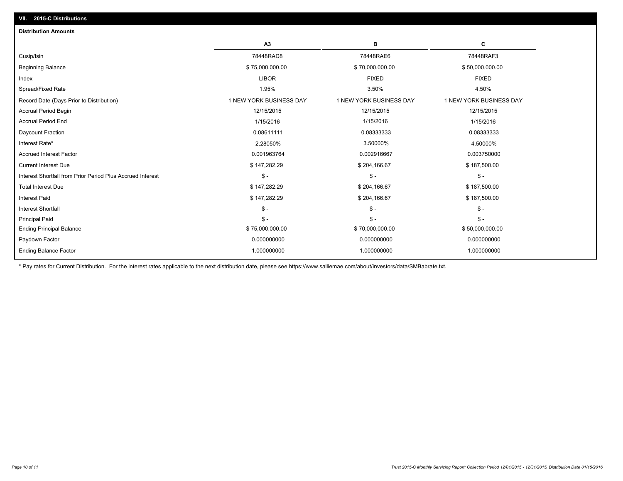| A3                      | в                       | c                       |
|-------------------------|-------------------------|-------------------------|
| 78448RAD8               | 78448RAE6               | 78448RAF3               |
| \$75,000,000.00         | \$70,000,000.00         | \$50,000,000.00         |
| <b>LIBOR</b>            | <b>FIXED</b>            | <b>FIXED</b>            |
| 1.95%                   | 3.50%                   | 4.50%                   |
| 1 NEW YORK BUSINESS DAY | 1 NEW YORK BUSINESS DAY | 1 NEW YORK BUSINESS DAY |
| 12/15/2015              | 12/15/2015              | 12/15/2015              |
| 1/15/2016               | 1/15/2016               | 1/15/2016               |
| 0.08611111              | 0.08333333              | 0.08333333              |
| 2.28050%                | 3.50000%                | 4.50000%                |
| 0.001963764             | 0.002916667             | 0.003750000             |
| \$147,282.29            | \$204,166.67            | \$187,500.00            |
| \$ -                    | $S -$                   | $\mathsf{\$}$ -         |
| \$147,282.29            | \$204,166.67            | \$187,500.00            |
| \$147,282.29            | \$204,166.67            | \$187,500.00            |
| $S -$                   | $S -$                   | $\mathcal{S}$ -         |
| $S -$                   | $S -$                   | $\mathbb{S}$ -          |
| \$75,000,000.00         | \$70,000,000.00         | \$50,000,000.00         |
| 0.000000000             | 0.000000000             | 0.000000000             |
| 1.000000000             | 1.000000000             | 1.000000000             |
|                         |                         |                         |

\* Pay rates for Current Distribution. For the interest rates applicable to the next distribution date, please see https://www.salliemae.com/about/investors/data/SMBabrate.txt.

**VII. 2015-C Distributions**